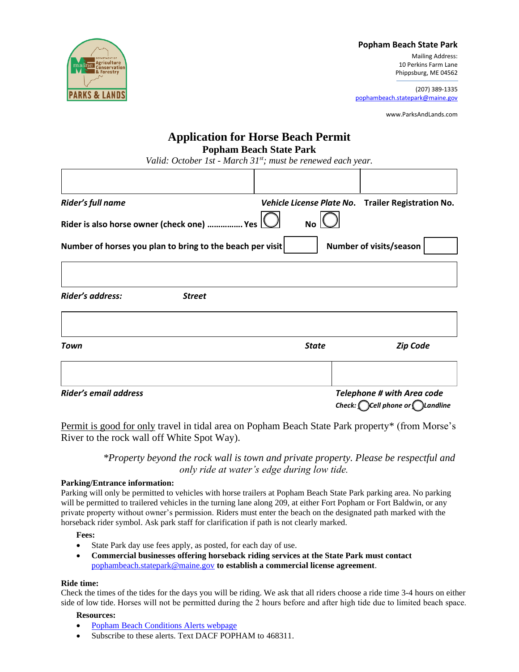

### **Popham Beach State Park**

Mailing Address: 10 Perkins Farm Lane Phippsburg, ME 04562

(207) 389-1335 [pophambeach.statepark@maine.gov](mailto:pophambeach.statepark@maine.gov)

www.ParksAndLands.com

# **Application for Horse Beach Permit Popham Beach State Park**

*Valid: October 1st - March 31st; must be renewed each year.*

| Rider's full name                                         |               |              | Vehicle License Plate No. Trailer Registration No.                                     |
|-----------------------------------------------------------|---------------|--------------|----------------------------------------------------------------------------------------|
| Rider is also horse owner (check one)  Yes [              |               | <b>No</b>    |                                                                                        |
| Number of horses you plan to bring to the beach per visit |               |              | Number of visits/season                                                                |
|                                                           |               |              |                                                                                        |
| Rider's address:                                          | <b>Street</b> |              |                                                                                        |
| Town                                                      |               | <b>State</b> | <b>Zip Code</b>                                                                        |
|                                                           |               |              |                                                                                        |
| Rider's email address                                     |               |              | <b>Telephone # with Area code</b><br>Check: $\bigcap$ Cell phone or $\bigcap$ Landline |

Permit is good for only travel in tidal area on Popham Beach State Park property\* (from Morse's River to the rock wall off White Spot Way).

> *\*Property beyond the rock wall is town and private property. Please be respectful and only ride at water's edge during low tide.*

#### **Parking/Entrance information:**

Parking will only be permitted to vehicles with horse trailers at Popham Beach State Park parking area. No parking will be permitted to trailered vehicles in the turning lane along 209, at either Fort Popham or Fort Baldwin, or any private property without owner's permission. Riders must enter the beach on the designated path marked with the horseback rider symbol. Ask park staff for clarification if path is not clearly marked.

#### **Fees:**

- State Park day use fees apply, as posted, for each day of use.
- **Commercial businesses offering horseback riding services at the State Park must contact** [pophambeach.statepark@maine.gov](mailto:pophambeach.statepark@maine.gov) **to establish a commercial license agreement**.

#### **Ride time:**

Check the times of the tides for the days you will be riding. We ask that all riders choose a ride time 3-4 hours on either side of low tide. Horses will not be permitted during the 2 hours before and after high tide due to limited beach space.

## **Resources:**

- [Popham Beach Conditions Alerts webpage](https://www.maine.gov/dacf/parks/water_activities/popham_beach_conditions.shtml)
- Subscribe to these alerts. Text DACF POPHAM to 468311.